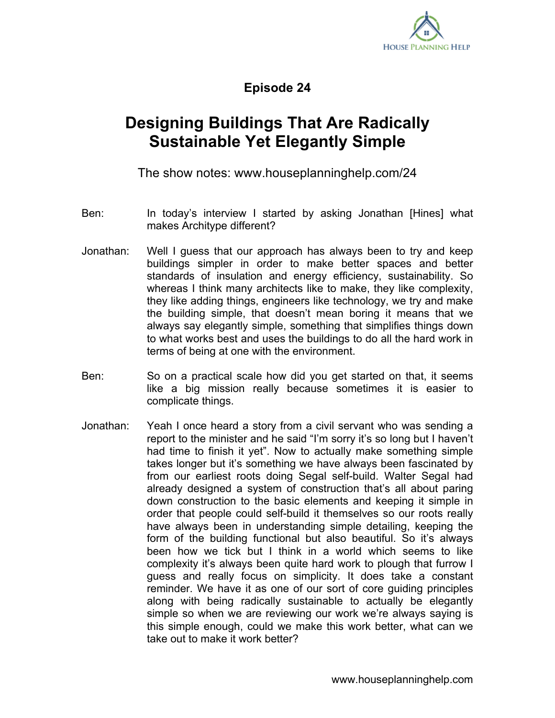

**Episode 24**

## **Designing Buildings That Are Radically Sustainable Yet Elegantly Simple**

The show notes: www.houseplanninghelp.com/24

- Ben: In today's interview I started by asking Jonathan [Hines] what makes Architype different?
- Jonathan: Well I guess that our approach has always been to try and keep buildings simpler in order to make better spaces and better standards of insulation and energy efficiency, sustainability. So whereas I think many architects like to make, they like complexity, they like adding things, engineers like technology, we try and make the building simple, that doesn't mean boring it means that we always say elegantly simple, something that simplifies things down to what works best and uses the buildings to do all the hard work in terms of being at one with the environment.
- Ben: So on a practical scale how did you get started on that, it seems like a big mission really because sometimes it is easier to complicate things.
- Jonathan: Yeah I once heard a story from a civil servant who was sending a report to the minister and he said "I'm sorry it's so long but I haven't had time to finish it yet". Now to actually make something simple takes longer but it's something we have always been fascinated by from our earliest roots doing Segal self-build. Walter Segal had already designed a system of construction that's all about paring down construction to the basic elements and keeping it simple in order that people could self-build it themselves so our roots really have always been in understanding simple detailing, keeping the form of the building functional but also beautiful. So it's always been how we tick but I think in a world which seems to like complexity it's always been quite hard work to plough that furrow I guess and really focus on simplicity. It does take a constant reminder. We have it as one of our sort of core guiding principles along with being radically sustainable to actually be elegantly simple so when we are reviewing our work we're always saying is this simple enough, could we make this work better, what can we take out to make it work better?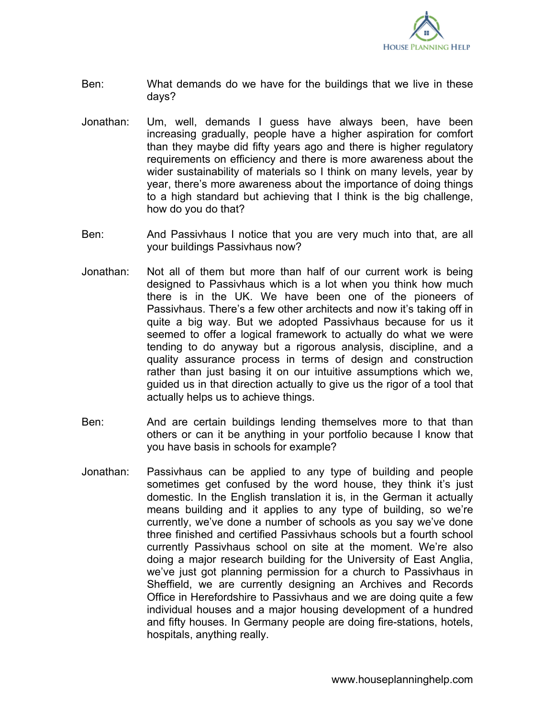

- Ben: What demands do we have for the buildings that we live in these days?
- Jonathan: Um, well, demands I guess have always been, have been increasing gradually, people have a higher aspiration for comfort than they maybe did fifty years ago and there is higher regulatory requirements on efficiency and there is more awareness about the wider sustainability of materials so I think on many levels, year by year, there's more awareness about the importance of doing things to a high standard but achieving that I think is the big challenge, how do you do that?
- Ben: And Passivhaus I notice that you are very much into that, are all your buildings Passivhaus now?
- Jonathan: Not all of them but more than half of our current work is being designed to Passivhaus which is a lot when you think how much there is in the UK. We have been one of the pioneers of Passivhaus. There's a few other architects and now it's taking off in quite a big way. But we adopted Passivhaus because for us it seemed to offer a logical framework to actually do what we were tending to do anyway but a rigorous analysis, discipline, and a quality assurance process in terms of design and construction rather than just basing it on our intuitive assumptions which we, guided us in that direction actually to give us the rigor of a tool that actually helps us to achieve things.
- Ben: And are certain buildings lending themselves more to that than others or can it be anything in your portfolio because I know that you have basis in schools for example?
- Jonathan: Passivhaus can be applied to any type of building and people sometimes get confused by the word house, they think it's just domestic. In the English translation it is, in the German it actually means building and it applies to any type of building, so we're currently, we've done a number of schools as you say we've done three finished and certified Passivhaus schools but a fourth school currently Passivhaus school on site at the moment. We're also doing a major research building for the University of East Anglia, we've just got planning permission for a church to Passivhaus in Sheffield, we are currently designing an Archives and Records Office in Herefordshire to Passivhaus and we are doing quite a few individual houses and a major housing development of a hundred and fifty houses. In Germany people are doing fire-stations, hotels, hospitals, anything really.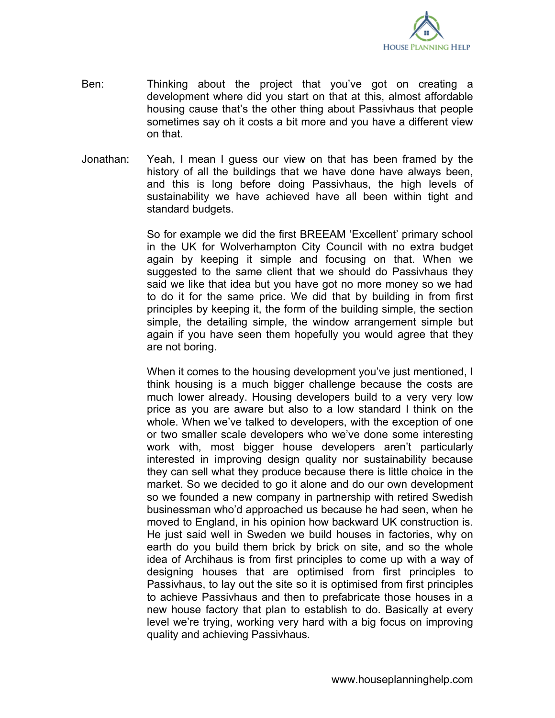

- Ben: Thinking about the project that you've got on creating a development where did you start on that at this, almost affordable housing cause that's the other thing about Passivhaus that people sometimes say oh it costs a bit more and you have a different view on that.
- Jonathan: Yeah, I mean I guess our view on that has been framed by the history of all the buildings that we have done have always been, and this is long before doing Passivhaus, the high levels of sustainability we have achieved have all been within tight and standard budgets.

So for example we did the first BREEAM 'Excellent' primary school in the UK for Wolverhampton City Council with no extra budget again by keeping it simple and focusing on that. When we suggested to the same client that we should do Passivhaus they said we like that idea but you have got no more money so we had to do it for the same price. We did that by building in from first principles by keeping it, the form of the building simple, the section simple, the detailing simple, the window arrangement simple but again if you have seen them hopefully you would agree that they are not boring.

When it comes to the housing development you've just mentioned, I think housing is a much bigger challenge because the costs are much lower already. Housing developers build to a very very low price as you are aware but also to a low standard I think on the whole. When we've talked to developers, with the exception of one or two smaller scale developers who we've done some interesting work with, most bigger house developers aren't particularly interested in improving design quality nor sustainability because they can sell what they produce because there is little choice in the market. So we decided to go it alone and do our own development so we founded a new company in partnership with retired Swedish businessman who'd approached us because he had seen, when he moved to England, in his opinion how backward UK construction is. He just said well in Sweden we build houses in factories, why on earth do you build them brick by brick on site, and so the whole idea of Archihaus is from first principles to come up with a way of designing houses that are optimised from first principles to Passivhaus, to lay out the site so it is optimised from first principles to achieve Passivhaus and then to prefabricate those houses in a new house factory that plan to establish to do. Basically at every level we're trying, working very hard with a big focus on improving quality and achieving Passivhaus.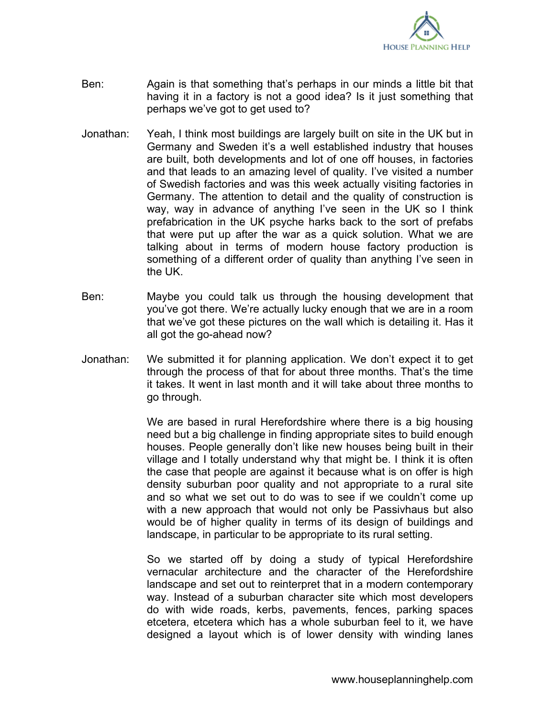

- Ben: Again is that something that's perhaps in our minds a little bit that having it in a factory is not a good idea? Is it just something that perhaps we've got to get used to?
- Jonathan: Yeah, I think most buildings are largely built on site in the UK but in Germany and Sweden it's a well established industry that houses are built, both developments and lot of one off houses, in factories and that leads to an amazing level of quality. I've visited a number of Swedish factories and was this week actually visiting factories in Germany. The attention to detail and the quality of construction is way, way in advance of anything I've seen in the UK so I think prefabrication in the UK psyche harks back to the sort of prefabs that were put up after the war as a quick solution. What we are talking about in terms of modern house factory production is something of a different order of quality than anything I've seen in the UK.
- Ben: Maybe you could talk us through the housing development that you've got there. We're actually lucky enough that we are in a room that we've got these pictures on the wall which is detailing it. Has it all got the go-ahead now?
- Jonathan: We submitted it for planning application. We don't expect it to get through the process of that for about three months. That's the time it takes. It went in last month and it will take about three months to go through.

We are based in rural Herefordshire where there is a big housing need but a big challenge in finding appropriate sites to build enough houses. People generally don't like new houses being built in their village and I totally understand why that might be. I think it is often the case that people are against it because what is on offer is high density suburban poor quality and not appropriate to a rural site and so what we set out to do was to see if we couldn't come up with a new approach that would not only be Passivhaus but also would be of higher quality in terms of its design of buildings and landscape, in particular to be appropriate to its rural setting.

So we started off by doing a study of typical Herefordshire vernacular architecture and the character of the Herefordshire landscape and set out to reinterpret that in a modern contemporary way. Instead of a suburban character site which most developers do with wide roads, kerbs, pavements, fences, parking spaces etcetera, etcetera which has a whole suburban feel to it, we have designed a layout which is of lower density with winding lanes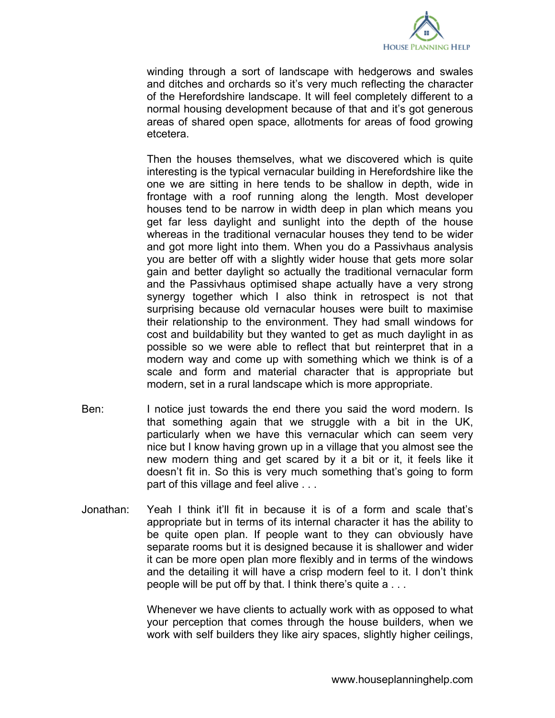

winding through a sort of landscape with hedgerows and swales and ditches and orchards so it's very much reflecting the character of the Herefordshire landscape. It will feel completely different to a normal housing development because of that and it's got generous areas of shared open space, allotments for areas of food growing etcetera.

Then the houses themselves, what we discovered which is quite interesting is the typical vernacular building in Herefordshire like the one we are sitting in here tends to be shallow in depth, wide in frontage with a roof running along the length. Most developer houses tend to be narrow in width deep in plan which means you get far less daylight and sunlight into the depth of the house whereas in the traditional vernacular houses they tend to be wider and got more light into them. When you do a Passivhaus analysis you are better off with a slightly wider house that gets more solar gain and better daylight so actually the traditional vernacular form and the Passivhaus optimised shape actually have a very strong synergy together which I also think in retrospect is not that surprising because old vernacular houses were built to maximise their relationship to the environment. They had small windows for cost and buildability but they wanted to get as much daylight in as possible so we were able to reflect that but reinterpret that in a modern way and come up with something which we think is of a scale and form and material character that is appropriate but modern, set in a rural landscape which is more appropriate.

- Ben: I notice just towards the end there you said the word modern. Is that something again that we struggle with a bit in the UK, particularly when we have this vernacular which can seem very nice but I know having grown up in a village that you almost see the new modern thing and get scared by it a bit or it, it feels like it doesn't fit in. So this is very much something that's going to form part of this village and feel alive . . .
- Jonathan: Yeah I think it'll fit in because it is of a form and scale that's appropriate but in terms of its internal character it has the ability to be quite open plan. If people want to they can obviously have separate rooms but it is designed because it is shallower and wider it can be more open plan more flexibly and in terms of the windows and the detailing it will have a crisp modern feel to it. I don't think people will be put off by that. I think there's quite a . . .

Whenever we have clients to actually work with as opposed to what your perception that comes through the house builders, when we work with self builders they like airy spaces, slightly higher ceilings,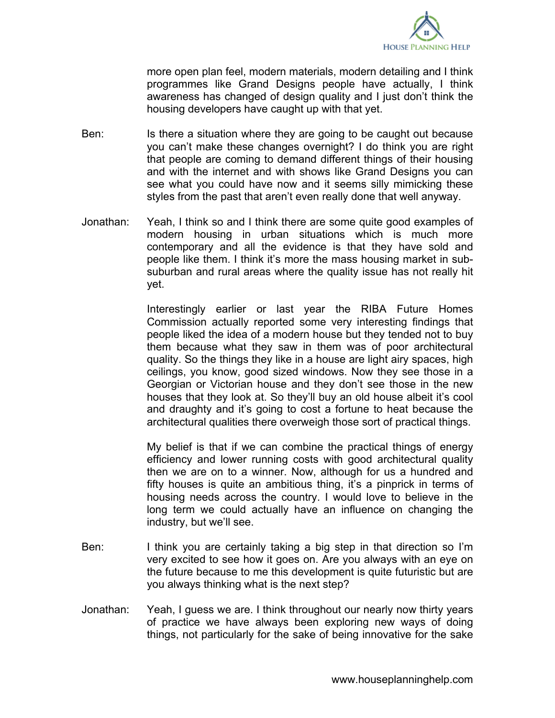

more open plan feel, modern materials, modern detailing and I think programmes like Grand Designs people have actually, I think awareness has changed of design quality and I just don't think the housing developers have caught up with that yet.

- Ben: Is there a situation where they are going to be caught out because you can't make these changes overnight? I do think you are right that people are coming to demand different things of their housing and with the internet and with shows like Grand Designs you can see what you could have now and it seems silly mimicking these styles from the past that aren't even really done that well anyway.
- Jonathan: Yeah, I think so and I think there are some quite good examples of modern housing in urban situations which is much more contemporary and all the evidence is that they have sold and people like them. I think it's more the mass housing market in subsuburban and rural areas where the quality issue has not really hit yet.

Interestingly earlier or last year the RIBA Future Homes Commission actually reported some very interesting findings that people liked the idea of a modern house but they tended not to buy them because what they saw in them was of poor architectural quality. So the things they like in a house are light airy spaces, high ceilings, you know, good sized windows. Now they see those in a Georgian or Victorian house and they don't see those in the new houses that they look at. So they'll buy an old house albeit it's cool and draughty and it's going to cost a fortune to heat because the architectural qualities there overweigh those sort of practical things.

My belief is that if we can combine the practical things of energy efficiency and lower running costs with good architectural quality then we are on to a winner. Now, although for us a hundred and fifty houses is quite an ambitious thing, it's a pinprick in terms of housing needs across the country. I would love to believe in the long term we could actually have an influence on changing the industry, but we'll see.

- Ben: I think you are certainly taking a big step in that direction so I'm very excited to see how it goes on. Are you always with an eye on the future because to me this development is quite futuristic but are you always thinking what is the next step?
- Jonathan: Yeah, I guess we are. I think throughout our nearly now thirty years of practice we have always been exploring new ways of doing things, not particularly for the sake of being innovative for the sake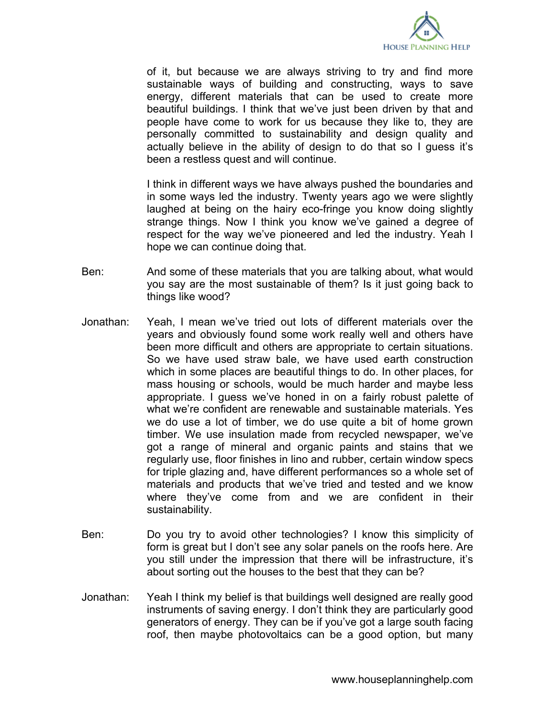

of it, but because we are always striving to try and find more sustainable ways of building and constructing, ways to save energy, different materials that can be used to create more beautiful buildings. I think that we've just been driven by that and people have come to work for us because they like to, they are personally committed to sustainability and design quality and actually believe in the ability of design to do that so I guess it's been a restless quest and will continue.

I think in different ways we have always pushed the boundaries and in some ways led the industry. Twenty years ago we were slightly laughed at being on the hairy eco-fringe you know doing slightly strange things. Now I think you know we've gained a degree of respect for the way we've pioneered and led the industry. Yeah I hope we can continue doing that.

- Ben: And some of these materials that you are talking about, what would you say are the most sustainable of them? Is it just going back to things like wood?
- Jonathan: Yeah, I mean we've tried out lots of different materials over the years and obviously found some work really well and others have been more difficult and others are appropriate to certain situations. So we have used straw bale, we have used earth construction which in some places are beautiful things to do. In other places, for mass housing or schools, would be much harder and maybe less appropriate. I guess we've honed in on a fairly robust palette of what we're confident are renewable and sustainable materials. Yes we do use a lot of timber, we do use quite a bit of home grown timber. We use insulation made from recycled newspaper, we've got a range of mineral and organic paints and stains that we regularly use, floor finishes in lino and rubber, certain window specs for triple glazing and, have different performances so a whole set of materials and products that we've tried and tested and we know where they've come from and we are confident in their sustainability.
- Ben: Do you try to avoid other technologies? I know this simplicity of form is great but I don't see any solar panels on the roofs here. Are you still under the impression that there will be infrastructure, it's about sorting out the houses to the best that they can be?
- Jonathan: Yeah I think my belief is that buildings well designed are really good instruments of saving energy. I don't think they are particularly good generators of energy. They can be if you've got a large south facing roof, then maybe photovoltaics can be a good option, but many